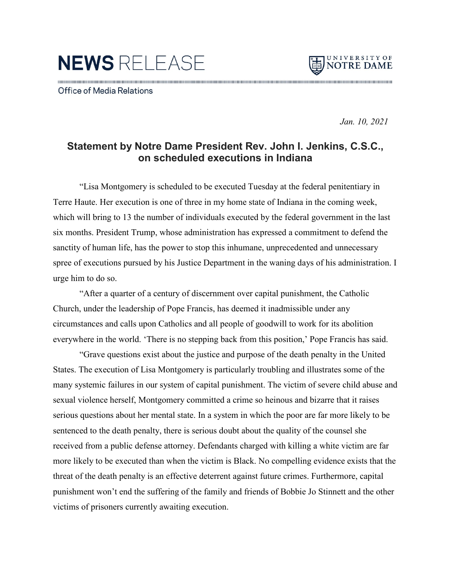NEWS RELEASE



Office of Media Relations

 *Jan. 10, 2021*

## **Statement by Notre Dame President Rev. John I. Jenkins, C.S.C., on scheduled executions in Indiana**

"Lisa Montgomery is scheduled to be executed Tuesday at the federal penitentiary in Terre Haute. Her execution is one of three in my home state of Indiana in the coming week, which will bring to 13 the number of individuals executed by the federal government in the last six months. President Trump, whose administration has expressed a commitment to defend the sanctity of human life, has the power to stop this inhumane, unprecedented and unnecessary spree of executions pursued by his Justice Department in the waning days of his administration. I urge him to do so.

"After a quarter of a century of discernment over capital punishment, the Catholic Church, under the leadership of Pope Francis, has deemed it inadmissible under any circumstances and calls upon Catholics and all people of goodwill to work for its abolition everywhere in the world. 'There is no stepping back from this position,' Pope Francis has said.

"Grave questions exist about the justice and purpose of the death penalty in the United States. The execution of Lisa Montgomery is particularly troubling and illustrates some of the many systemic failures in our system of capital punishment. The victim of severe child abuse and sexual violence herself, Montgomery committed a crime so heinous and bizarre that it raises serious questions about her mental state. In a system in which the poor are far more likely to be sentenced to the death penalty, there is serious doubt about the quality of the counsel she received from a public defense attorney. Defendants charged with killing a white victim are far more likely to be executed than when the victim is Black. No compelling evidence exists that the threat of the death penalty is an effective deterrent against future crimes. Furthermore, capital punishment won't end the suffering of the family and friends of Bobbie Jo Stinnett and the other victims of prisoners currently awaiting execution.